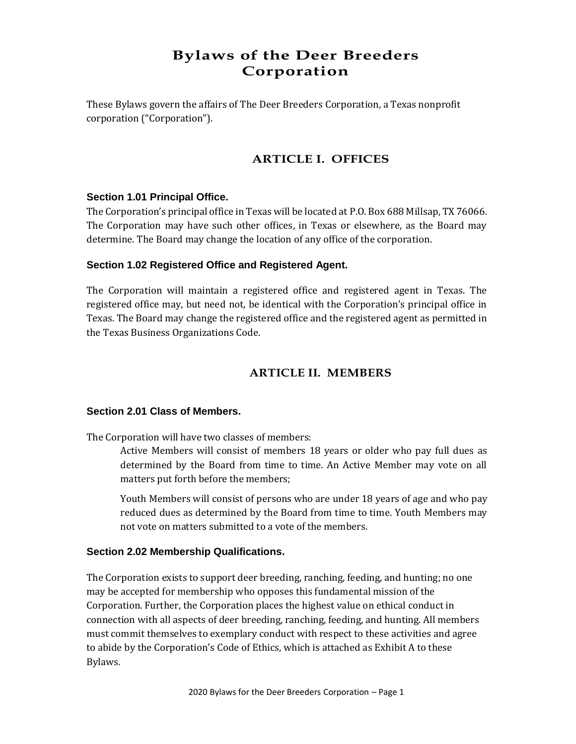# **Bylaws of the Deer Breeders Corporation**

These Bylaws govern the affairs of The Deer Breeders Corporation, a Texas nonprofit corporation ("Corporation").

## **ARTICLE I. OFFICES**

## **Section 1.01 Principal Office.**

The Corporation's principal office in Texas will be located at P.O. Box 688 Millsap, TX 76066. The Corporation may have such other offices, in Texas or elsewhere, as the Board may determine. The Board may change the location of any office of the corporation.

## **Section 1.02 Registered Office and Registered Agent.**

The Corporation will maintain a registered office and registered agent in Texas. The registered office may, but need not, be identical with the Corporation's principal office in Texas. The Board may change the registered office and the registered agent as permitted in the Texas Business Organizations Code.

## **ARTICLE II. MEMBERS**

## **Section 2.01 Class of Members.**

The Corporation will have two classes of members:

Active Members will consist of members 18 years or older who pay full dues as determined by the Board from time to time. An Active Member may vote on all matters put forth before the members;

Youth Members will consist of persons who are under 18 years of age and who pay reduced dues as determined by the Board from time to time. Youth Members may not vote on matters submitted to a vote of the members.

## **Section 2.02 Membership Qualifications.**

The Corporation exists to support deer breeding, ranching, feeding, and hunting; no one may be accepted for membership who opposes this fundamental mission of the Corporation. Further, the Corporation places the highest value on ethical conduct in connection with all aspects of deer breeding, ranching, feeding, and hunting. All members must commit themselves to exemplary conduct with respect to these activities and agree to abide by the Corporation's Code of Ethics, which is attached as Exhibit A to these Bylaws.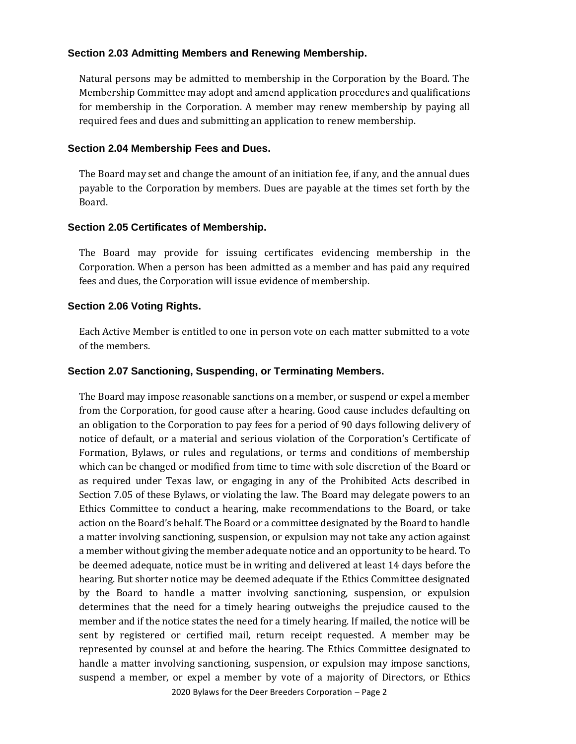## **Section 2.03 Admitting Members and Renewing Membership.**

Natural persons may be admitted to membership in the Corporation by the Board. The Membership Committee may adopt and amend application procedures and qualifications for membership in the Corporation. A member may renew membership by paying all required fees and dues and submitting an application to renew membership.

#### **Section 2.04 Membership Fees and Dues.**

The Board may set and change the amount of an initiation fee, if any, and the annual dues payable to the Corporation by members. Dues are payable at the times set forth by the Board.

#### **Section 2.05 Certificates of Membership.**

The Board may provide for issuing certificates evidencing membership in the Corporation. When a person has been admitted as a member and has paid any required fees and dues, the Corporation will issue evidence of membership.

#### **Section 2.06 Voting Rights.**

Each Active Member is entitled to one in person vote on each matter submitted to a vote of the members.

#### **Section 2.07 Sanctioning, Suspending, or Terminating Members.**

The Board may impose reasonable sanctions on a member, or suspend or expel a member from the Corporation, for good cause after a hearing. Good cause includes defaulting on an obligation to the Corporation to pay fees for a period of 90 days following delivery of notice of default, or a material and serious violation of the Corporation's Certificate of Formation, Bylaws, or rules and regulations, or terms and conditions of membership which can be changed or modified from time to time with sole discretion of the Board or as required under Texas law, or engaging in any of the Prohibited Acts described in Section 7.05 of these Bylaws, or violating the law. The Board may delegate powers to an Ethics Committee to conduct a hearing, make recommendations to the Board, or take action on the Board's behalf. The Board or a committee designated by the Board to handle a matter involving sanctioning, suspension, or expulsion may not take any action against a member without giving the member adequate notice and an opportunity to be heard. To be deemed adequate, notice must be in writing and delivered at least 14 days before the hearing. But shorter notice may be deemed adequate if the Ethics Committee designated by the Board to handle a matter involving sanctioning, suspension, or expulsion determines that the need for a timely hearing outweighs the prejudice caused to the member and if the notice states the need for a timely hearing. If mailed, the notice will be sent by registered or certified mail, return receipt requested. A member may be represented by counsel at and before the hearing. The Ethics Committee designated to handle a matter involving sanctioning, suspension, or expulsion may impose sanctions, suspend a member, or expel a member by vote of a majority of Directors, or Ethics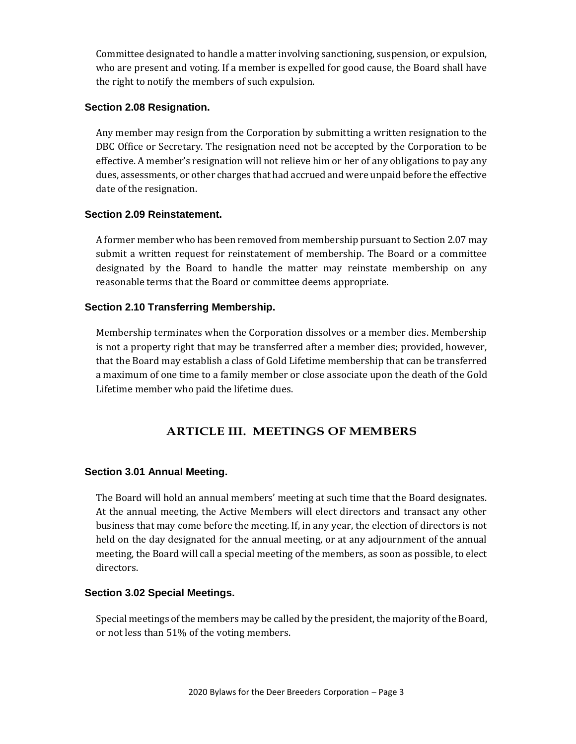Committee designated to handle a matter involving sanctioning, suspension, or expulsion, who are present and voting. If a member is expelled for good cause, the Board shall have the right to notify the members of such expulsion.

## **Section 2.08 Resignation.**

Any member may resign from the Corporation by submitting a written resignation to the DBC Office or Secretary. The resignation need not be accepted by the Corporation to be effective. A member's resignation will not relieve him or her of any obligations to pay any dues, assessments, or other charges that had accrued and were unpaid before the effective date of the resignation.

## **Section 2.09 Reinstatement.**

A former member who has been removed from membership pursuant to Section 2.07 may submit a written request for reinstatement of membership. The Board or a committee designated by the Board to handle the matter may reinstate membership on any reasonable terms that the Board or committee deems appropriate.

## **Section 2.10 Transferring Membership.**

Membership terminates when the Corporation dissolves or a member dies. Membership is not a property right that may be transferred after a member dies; provided, however, that the Board may establish a class of Gold Lifetime membership that can be transferred a maximum of one time to a family member or close associate upon the death of the Gold Lifetime member who paid the lifetime dues.

## **ARTICLE III. MEETINGS OF MEMBERS**

## **Section 3.01 Annual Meeting.**

The Board will hold an annual members' meeting at such time that the Board designates. At the annual meeting, the Active Members will elect directors and transact any other business that may come before the meeting. If, in any year, the election of directors is not held on the day designated for the annual meeting, or at any adjournment of the annual meeting, the Board will call a special meeting of the members, as soon as possible, to elect directors.

#### **Section 3.02 Special Meetings.**

Special meetings of the members may be called by the president, the majority of the Board, or not less than 51% of the voting members.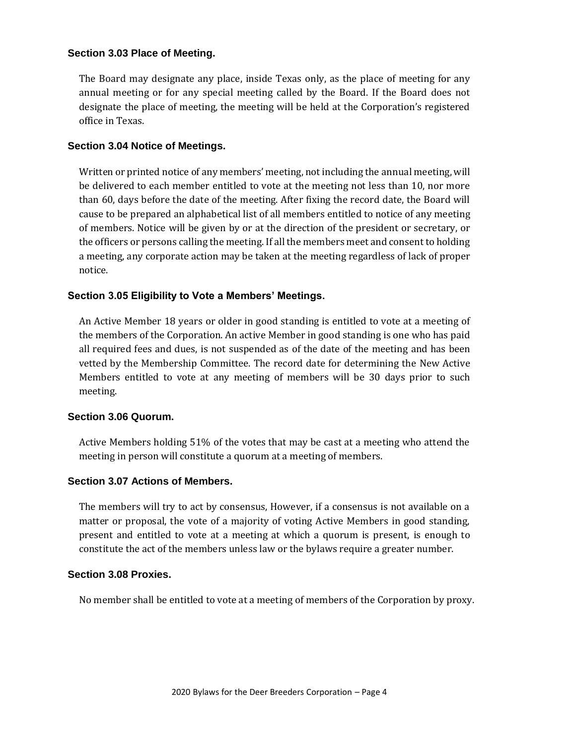## **Section 3.03 Place of Meeting.**

The Board may designate any place, inside Texas only, as the place of meeting for any annual meeting or for any special meeting called by the Board. If the Board does not designate the place of meeting, the meeting will be held at the Corporation's registered office in Texas.

#### **Section 3.04 Notice of Meetings.**

Written or printed notice of any members' meeting, not including the annual meeting, will be delivered to each member entitled to vote at the meeting not less than 10, nor more than 60, days before the date of the meeting. After fixing the record date, the Board will cause to be prepared an alphabetical list of all members entitled to notice of any meeting of members. Notice will be given by or at the direction of the president or secretary, or the officers or persons calling the meeting. If all the members meet and consent to holding a meeting, any corporate action may be taken at the meeting regardless of lack of proper notice.

## **Section 3.05 Eligibility to Vote a Members' Meetings.**

An Active Member 18 years or older in good standing is entitled to vote at a meeting of the members of the Corporation. An active Member in good standing is one who has paid all required fees and dues, is not suspended as of the date of the meeting and has been vetted by the Membership Committee. The record date for determining the New Active Members entitled to vote at any meeting of members will be 30 days prior to such meeting.

#### **Section 3.06 Quorum.**

Active Members holding 51% of the votes that may be cast at a meeting who attend the meeting in person will constitute a quorum at a meeting of members.

## **Section 3.07 Actions of Members.**

The members will try to act by consensus, However, if a consensus is not available on a matter or proposal, the vote of a majority of voting Active Members in good standing, present and entitled to vote at a meeting at which a quorum is present, is enough to constitute the act of the members unless law or the bylaws require a greater number.

#### **Section 3.08 Proxies.**

No member shall be entitled to vote at a meeting of members of the Corporation by proxy.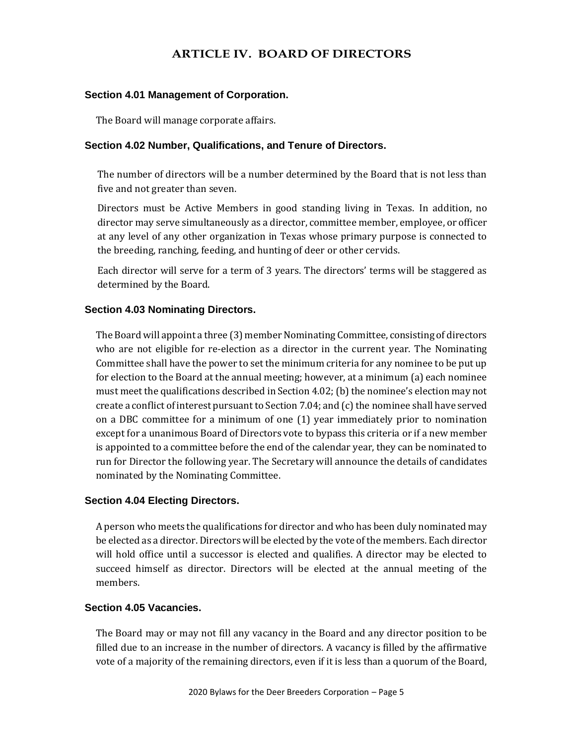## **ARTICLE IV. BOARD OF DIRECTORS**

#### **Section 4.01 Management of Corporation.**

The Board will manage corporate affairs.

#### **Section 4.02 Number, Qualifications, and Tenure of Directors.**

The number of directors will be a number determined by the Board that is not less than five and not greater than seven.

Directors must be Active Members in good standing living in Texas. In addition, no director may serve simultaneously as a director, committee member, employee, or officer at any level of any other organization in Texas whose primary purpose is connected to the breeding, ranching, feeding, and hunting of deer or other cervids.

Each director will serve for a term of 3 years. The directors' terms will be staggered as determined by the Board.

## **Section 4.03 Nominating Directors.**

The Board will appoint a three (3) member Nominating Committee, consisting of directors who are not eligible for re-election as a director in the current year. The Nominating Committee shall have the power to set the minimum criteria for any nominee to be put up for election to the Board at the annual meeting; however, at a minimum (a) each nominee must meet the qualifications described in Section 4.02; (b) the nominee's election may not create a conflict of interest pursuant to Section 7.04; and (c) the nominee shall have served on a DBC committee for a minimum of one (1) year immediately prior to nomination except for a unanimous Board of Directors vote to bypass this criteria or if a new member is appointed to a committee before the end of the calendar year, they can be nominated to run for Director the following year. The Secretary will announce the details of candidates nominated by the Nominating Committee.

#### **Section 4.04 Electing Directors.**

A person who meets the qualifications for director and who has been duly nominated may be elected as a director. Directors will be elected by the vote of the members. Each director will hold office until a successor is elected and qualifies. A director may be elected to succeed himself as director. Directors will be elected at the annual meeting of the members.

#### **Section 4.05 Vacancies.**

The Board may or may not fill any vacancy in the Board and any director position to be filled due to an increase in the number of directors. A vacancy is filled by the affirmative vote of a majority of the remaining directors, even if it is less than a quorum of the Board,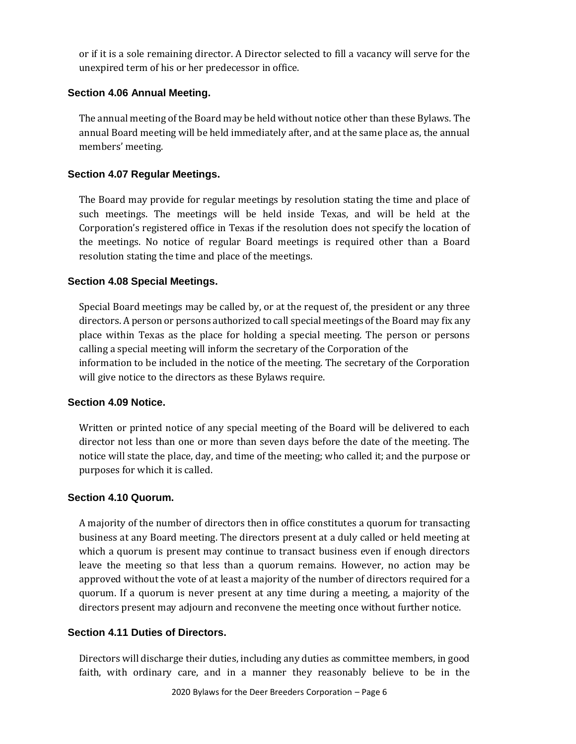or if it is a sole remaining director. A Director selected to fill a vacancy will serve for the unexpired term of his or her predecessor in office.

## **Section 4.06 Annual Meeting.**

The annual meeting of the Board may be held without notice other than these Bylaws. The annual Board meeting will be held immediately after, and at the same place as, the annual members' meeting.

## **Section 4.07 Regular Meetings.**

The Board may provide for regular meetings by resolution stating the time and place of such meetings. The meetings will be held inside Texas, and will be held at the Corporation's registered office in Texas if the resolution does not specify the location of the meetings. No notice of regular Board meetings is required other than a Board resolution stating the time and place of the meetings.

## **Section 4.08 Special Meetings.**

Special Board meetings may be called by, or at the request of, the president or any three directors. A person or persons authorized to call special meetings of the Board may fix any place within Texas as the place for holding a special meeting. The person or persons calling a special meeting will inform the secretary of the Corporation of the information to be included in the notice of the meeting. The secretary of the Corporation will give notice to the directors as these Bylaws require.

#### **Section 4.09 Notice.**

Written or printed notice of any special meeting of the Board will be delivered to each director not less than one or more than seven days before the date of the meeting. The notice will state the place, day, and time of the meeting; who called it; and the purpose or purposes for which it is called.

#### **Section 4.10 Quorum.**

A majority of the number of directors then in office constitutes a quorum for transacting business at any Board meeting. The directors present at a duly called or held meeting at which a quorum is present may continue to transact business even if enough directors leave the meeting so that less than a quorum remains. However, no action may be approved without the vote of at least a majority of the number of directors required for a quorum. If a quorum is never present at any time during a meeting, a majority of the directors present may adjourn and reconvene the meeting once without further notice.

#### **Section 4.11 Duties of Directors.**

Directors will discharge their duties, including any duties as committee members, in good faith, with ordinary care, and in a manner they reasonably believe to be in the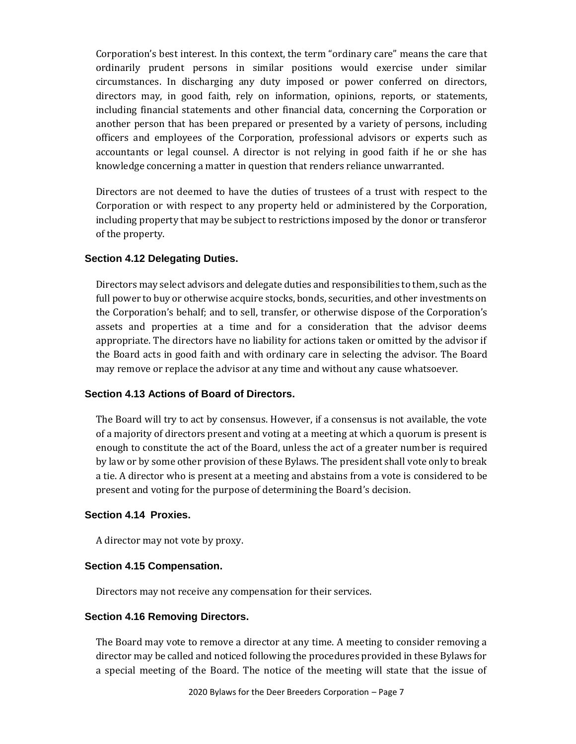Corporation's best interest. In this context, the term "ordinary care" means the care that ordinarily prudent persons in similar positions would exercise under similar circumstances. In discharging any duty imposed or power conferred on directors, directors may, in good faith, rely on information, opinions, reports, or statements, including financial statements and other financial data, concerning the Corporation or another person that has been prepared or presented by a variety of persons, including officers and employees of the Corporation, professional advisors or experts such as accountants or legal counsel. A director is not relying in good faith if he or she has knowledge concerning a matter in question that renders reliance unwarranted.

Directors are not deemed to have the duties of trustees of a trust with respect to the Corporation or with respect to any property held or administered by the Corporation, including property that may be subject to restrictions imposed by the donor or transferor of the property.

## **Section 4.12 Delegating Duties.**

Directors may select advisors and delegate duties and responsibilities to them, such as the full power to buy or otherwise acquire stocks, bonds, securities, and other investments on the Corporation's behalf; and to sell, transfer, or otherwise dispose of the Corporation's assets and properties at a time and for a consideration that the advisor deems appropriate. The directors have no liability for actions taken or omitted by the advisor if the Board acts in good faith and with ordinary care in selecting the advisor. The Board may remove or replace the advisor at any time and without any cause whatsoever.

## **Section 4.13 Actions of Board of Directors.**

The Board will try to act by consensus. However, if a consensus is not available, the vote of a majority of directors present and voting at a meeting at which a quorum is present is enough to constitute the act of the Board, unless the act of a greater number is required by law or by some other provision of these Bylaws. The president shall vote only to break a tie. A director who is present at a meeting and abstains from a vote is considered to be present and voting for the purpose of determining the Board's decision.

## **Section 4.14 Proxies.**

A director may not vote by proxy.

## **Section 4.15 Compensation.**

Directors may not receive any compensation for their services.

## **Section 4.16 Removing Directors.**

The Board may vote to remove a director at any time. A meeting to consider removing a director may be called and noticed following the procedures provided in these Bylaws for a special meeting of the Board. The notice of the meeting will state that the issue of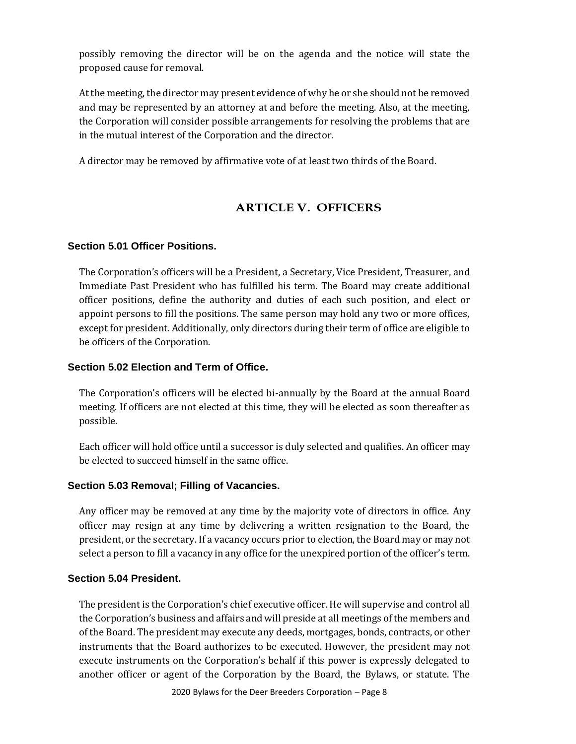possibly removing the director will be on the agenda and the notice will state the proposed cause for removal.

At the meeting, the director may present evidence of why he or she should not be removed and may be represented by an attorney at and before the meeting. Also, at the meeting, the Corporation will consider possible arrangements for resolving the problems that are in the mutual interest of the Corporation and the director.

A director may be removed by affirmative vote of at least two thirds of the Board.

## **ARTICLE V. OFFICERS**

## **Section 5.01 Officer Positions.**

The Corporation's officers will be a President, a Secretary, Vice President, Treasurer, and Immediate Past President who has fulfilled his term. The Board may create additional officer positions, define the authority and duties of each such position, and elect or appoint persons to fill the positions. The same person may hold any two or more offices, except for president. Additionally, only directors during their term of office are eligible to be officers of the Corporation.

## **Section 5.02 Election and Term of Office.**

The Corporation's officers will be elected bi-annually by the Board at the annual Board meeting. If officers are not elected at this time, they will be elected as soon thereafter as possible.

Each officer will hold office until a successor is duly selected and qualifies. An officer may be elected to succeed himself in the same office.

#### **Section 5.03 Removal; Filling of Vacancies.**

Any officer may be removed at any time by the majority vote of directors in office. Any officer may resign at any time by delivering a written resignation to the Board, the president, or the secretary. If a vacancy occurs prior to election, the Board may or may not select a person to fill a vacancy in any office for the unexpired portion of the officer's term.

#### **Section 5.04 President.**

The president is the Corporation's chief executive officer. He will supervise and control all the Corporation's business and affairs and will preside at all meetings of the members and of the Board. The president may execute any deeds, mortgages, bonds, contracts, or other instruments that the Board authorizes to be executed. However, the president may not execute instruments on the Corporation's behalf if this power is expressly delegated to another officer or agent of the Corporation by the Board, the Bylaws, or statute. The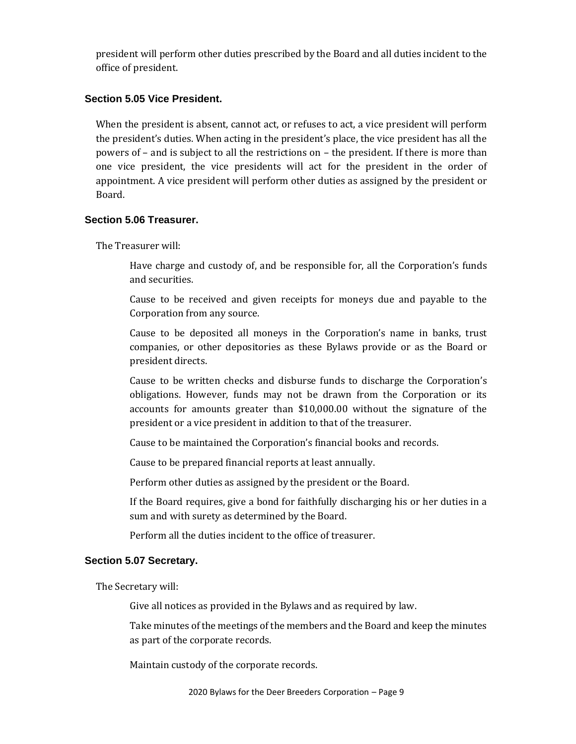president will perform other duties prescribed by the Board and all duties incident to the office of president.

## **Section 5.05 Vice President.**

When the president is absent, cannot act, or refuses to act, a vice president will perform the president's duties. When acting in the president's place, the vice president has all the powers of – and is subject to all the restrictions on – the president. If there is more than one vice president, the vice presidents will act for the president in the order of appointment. A vice president will perform other duties as assigned by the president or Board.

## **Section 5.06 Treasurer.**

The Treasurer will:

Have charge and custody of, and be responsible for, all the Corporation's funds and securities.

Cause to be received and given receipts for moneys due and payable to the Corporation from any source.

Cause to be deposited all moneys in the Corporation's name in banks, trust companies, or other depositories as these Bylaws provide or as the Board or president directs.

Cause to be written checks and disburse funds to discharge the Corporation's obligations. However, funds may not be drawn from the Corporation or its accounts for amounts greater than \$10,000.00 without the signature of the president or a vice president in addition to that of the treasurer.

Cause to be maintained the Corporation's financial books and records.

Cause to be prepared financial reports at least annually.

Perform other duties as assigned by the president or the Board.

If the Board requires, give a bond for faithfully discharging his or her duties in a sum and with surety as determined by the Board.

Perform all the duties incident to the office of treasurer.

## **Section 5.07 Secretary.**

The Secretary will:

Give all notices as provided in the Bylaws and as required by law.

Take minutes of the meetings of the members and the Board and keep the minutes as part of the corporate records.

Maintain custody of the corporate records.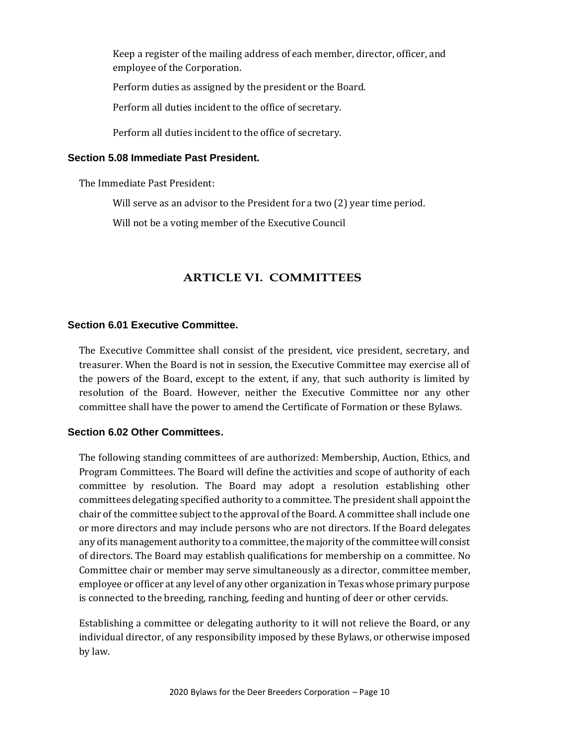Keep a register of the mailing address of each member, director, officer, and employee of the Corporation.

Perform duties as assigned by the president or the Board.

Perform all duties incident to the office of secretary.

Perform all duties incident to the office of secretary.

#### **Section 5.08 Immediate Past President.**

The Immediate Past President:

Will serve as an advisor to the President for a two (2) year time period.

Will not be a voting member of the Executive Council

## **ARTICLE VI. COMMITTEES**

## **Section 6.01 Executive Committee.**

The Executive Committee shall consist of the president, vice president, secretary, and treasurer. When the Board is not in session, the Executive Committee may exercise all of the powers of the Board, except to the extent, if any, that such authority is limited by resolution of the Board. However, neither the Executive Committee nor any other committee shall have the power to amend the Certificate of Formation or these Bylaws.

## **Section 6.02 Other Committees.**

The following standing committees of are authorized: Membership, Auction, Ethics, and Program Committees. The Board will define the activities and scope of authority of each committee by resolution. The Board may adopt a resolution establishing other committees delegating specified authority to a committee. The president shall appoint the chair of the committee subject to the approval of the Board. A committee shall include one or more directors and may include persons who are not directors. If the Board delegates any of its management authority to a committee, the majority of the committee will consist of directors. The Board may establish qualifications for membership on a committee. No Committee chair or member may serve simultaneously as a director, committee member, employee or officer at any level of any other organization in Texas whose primary purpose is connected to the breeding, ranching, feeding and hunting of deer or other cervids.

Establishing a committee or delegating authority to it will not relieve the Board, or any individual director, of any responsibility imposed by these Bylaws, or otherwise imposed by law.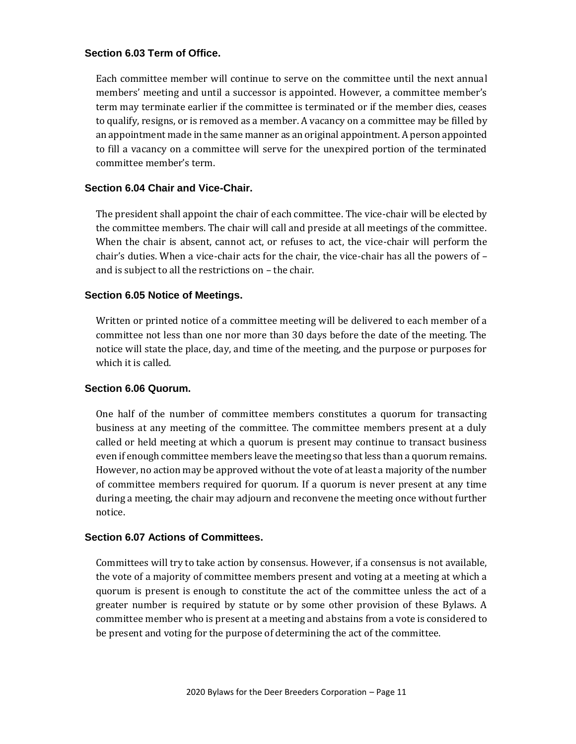## **Section 6.03 Term of Office.**

Each committee member will continue to serve on the committee until the next annual members' meeting and until a successor is appointed. However, a committee member's term may terminate earlier if the committee is terminated or if the member dies, ceases to qualify, resigns, or is removed as a member. A vacancy on a committee may be filled by an appointment made in the same manner as an original appointment. A person appointed to fill a vacancy on a committee will serve for the unexpired portion of the terminated committee member's term.

## **Section 6.04 Chair and Vice-Chair.**

The president shall appoint the chair of each committee. The vice-chair will be elected by the committee members. The chair will call and preside at all meetings of the committee. When the chair is absent, cannot act, or refuses to act, the vice-chair will perform the chair's duties. When a vice-chair acts for the chair, the vice-chair has all the powers of – and is subject to all the restrictions on – the chair.

## **Section 6.05 Notice of Meetings.**

Written or printed notice of a committee meeting will be delivered to each member of a committee not less than one nor more than 30 days before the date of the meeting. The notice will state the place, day, and time of the meeting, and the purpose or purposes for which it is called.

#### **Section 6.06 Quorum.**

One half of the number of committee members constitutes a quorum for transacting business at any meeting of the committee. The committee members present at a duly called or held meeting at which a quorum is present may continue to transact business even if enough committee members leave the meeting so that less than a quorum remains. However, no action may be approved without the vote of at least a majority of the number of committee members required for quorum. If a quorum is never present at any time during a meeting, the chair may adjourn and reconvene the meeting once without further notice.

## **Section 6.07 Actions of Committees.**

Committees will try to take action by consensus. However, if a consensus is not available, the vote of a majority of committee members present and voting at a meeting at which a quorum is present is enough to constitute the act of the committee unless the act of a greater number is required by statute or by some other provision of these Bylaws. A committee member who is present at a meeting and abstains from a vote is considered to be present and voting for the purpose of determining the act of the committee.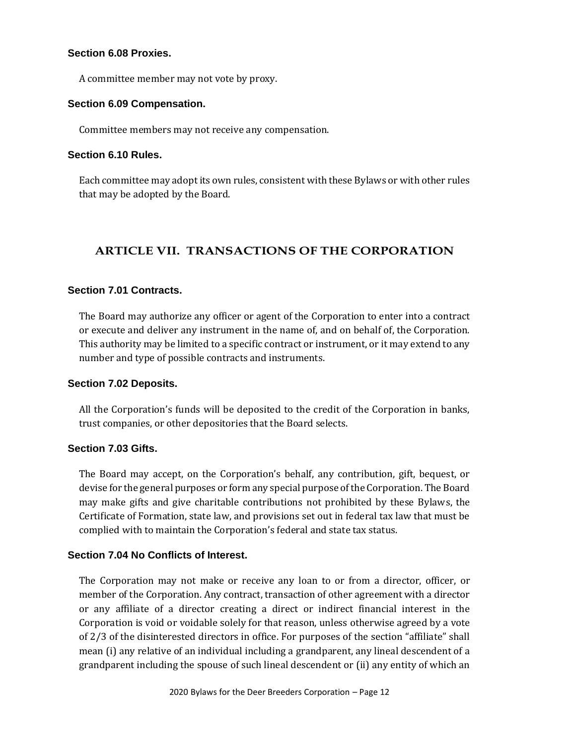## **Section 6.08 Proxies.**

A committee member may not vote by proxy.

#### **Section 6.09 Compensation.**

Committee members may not receive any compensation.

## **Section 6.10 Rules.**

Each committee may adopt its own rules, consistent with these Bylaws or with other rules that may be adopted by the Board.

## **ARTICLE VII. TRANSACTIONS OF THE CORPORATION**

## **Section 7.01 Contracts.**

The Board may authorize any officer or agent of the Corporation to enter into a contract or execute and deliver any instrument in the name of, and on behalf of, the Corporation. This authority may be limited to a specific contract or instrument, or it may extend to any number and type of possible contracts and instruments.

## **Section 7.02 Deposits.**

All the Corporation's funds will be deposited to the credit of the Corporation in banks, trust companies, or other depositories that the Board selects.

## **Section 7.03 Gifts.**

The Board may accept, on the Corporation's behalf, any contribution, gift, bequest, or devise for the general purposes or form any special purpose of the Corporation. The Board may make gifts and give charitable contributions not prohibited by these Bylaws, the Certificate of Formation, state law, and provisions set out in federal tax law that must be complied with to maintain the Corporation's federal and state tax status.

## **Section 7.04 No Conflicts of Interest.**

The Corporation may not make or receive any loan to or from a director, officer, or member of the Corporation. Any contract, transaction of other agreement with a director or any affiliate of a director creating a direct or indirect financial interest in the Corporation is void or voidable solely for that reason, unless otherwise agreed by a vote of 2/3 of the disinterested directors in office. For purposes of the section "affiliate" shall mean (i) any relative of an individual including a grandparent, any lineal descendent of a grandparent including the spouse of such lineal descendent or (ii) any entity of which an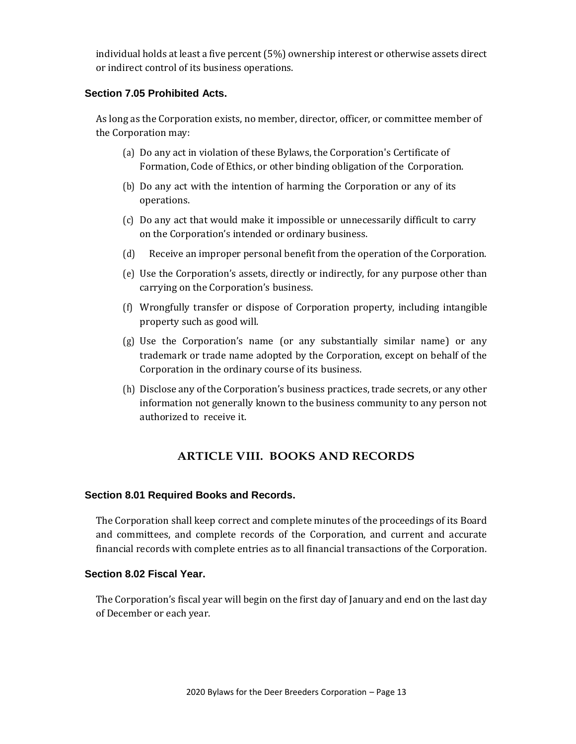individual holds at least a five percent (5%) ownership interest or otherwise assets direct or indirect control of its business operations.

## **Section 7.05 Prohibited Acts.**

As long as the Corporation exists, no member, director, officer, or committee member of the Corporation may:

- (a) Do any act in violation of these Bylaws, the Corporation's Certificate of Formation, Code of Ethics, or other binding obligation of the Corporation.
- (b) Do any act with the intention of harming the Corporation or any of its operations.
- (c) Do any act that would make it impossible or unnecessarily difficult to carry on the Corporation's intended or ordinary business.
- (d) Receive an improper personal benefit from the operation of the Corporation.
- (e) Use the Corporation's assets, directly or indirectly, for any purpose other than carrying on the Corporation's business.
- (f) Wrongfully transfer or dispose of Corporation property, including intangible property such as good will.
- (g) Use the Corporation's name (or any substantially similar name) or any trademark or trade name adopted by the Corporation, except on behalf of the Corporation in the ordinary course of its business.
- (h) Disclose any of the Corporation's business practices, trade secrets, or any other information not generally known to the business community to any person not authorized to receive it.

## **ARTICLE VIII. BOOKS AND RECORDS**

## **Section 8.01 Required Books and Records.**

The Corporation shall keep correct and complete minutes of the proceedings of its Board and committees, and complete records of the Corporation, and current and accurate financial records with complete entries as to all financial transactions of the Corporation.

## **Section 8.02 Fiscal Year.**

The Corporation's fiscal year will begin on the first day of January and end on the last day of December or each year.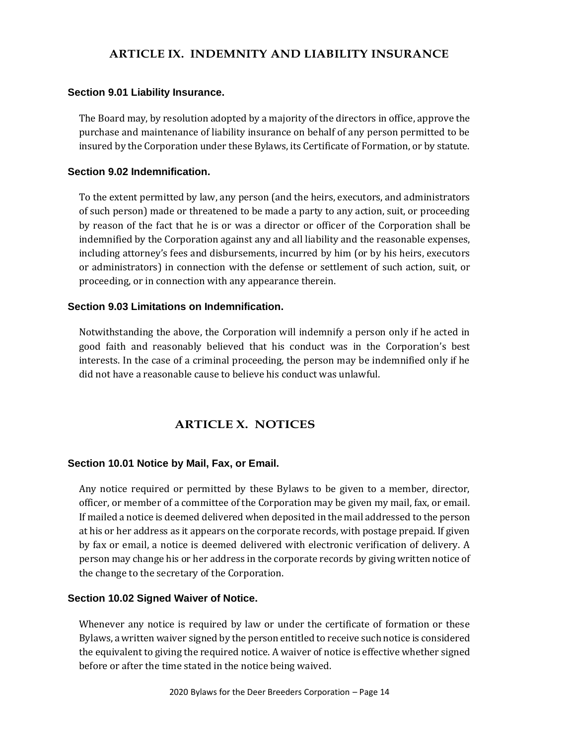## **ARTICLE IX. INDEMNITY AND LIABILITY INSURANCE**

## **Section 9.01 Liability Insurance.**

The Board may, by resolution adopted by a majority of the directors in office, approve the purchase and maintenance of liability insurance on behalf of any person permitted to be insured by the Corporation under these Bylaws, its Certificate of Formation, or by statute.

## **Section 9.02 Indemnification.**

To the extent permitted by law, any person (and the heirs, executors, and administrators of such person) made or threatened to be made a party to any action, suit, or proceeding by reason of the fact that he is or was a director or officer of the Corporation shall be indemnified by the Corporation against any and all liability and the reasonable expenses, including attorney's fees and disbursements, incurred by him (or by his heirs, executors or administrators) in connection with the defense or settlement of such action, suit, or proceeding, or in connection with any appearance therein.

## **Section 9.03 Limitations on Indemnification.**

Notwithstanding the above, the Corporation will indemnify a person only if he acted in good faith and reasonably believed that his conduct was in the Corporation's best interests. In the case of a criminal proceeding, the person may be indemnified only if he did not have a reasonable cause to believe his conduct was unlawful.

## **ARTICLE X. NOTICES**

## **Section 10.01 Notice by Mail, Fax, or Email.**

Any notice required or permitted by these Bylaws to be given to a member, director, officer, or member of a committee of the Corporation may be given my mail, fax, or email. If mailed a notice is deemed delivered when deposited in the mail addressed to the person at his or her address as it appears on the corporate records, with postage prepaid. If given by fax or email, a notice is deemed delivered with electronic verification of delivery. A person may change his or her address in the corporate records by giving written notice of the change to the secretary of the Corporation.

#### **Section 10.02 Signed Waiver of Notice.**

Whenever any notice is required by law or under the certificate of formation or these Bylaws, a written waiver signed by the person entitled to receive such notice is considered the equivalent to giving the required notice. A waiver of notice is effective whether signed before or after the time stated in the notice being waived.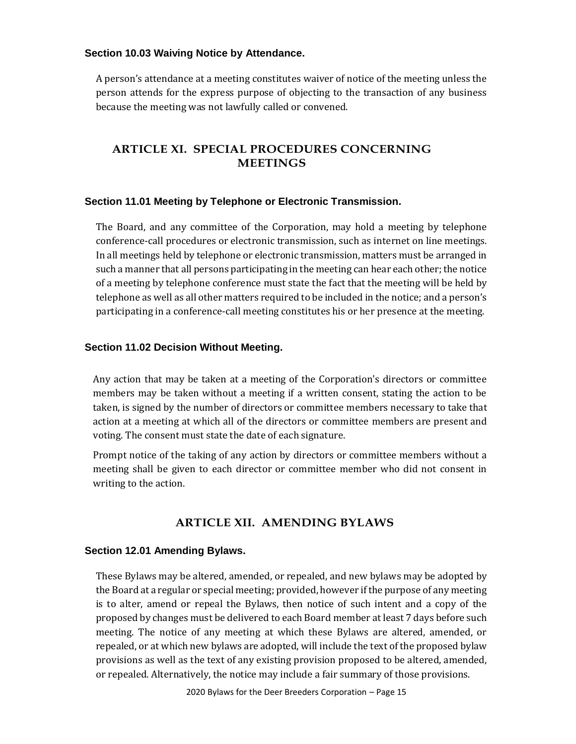## **Section 10.03 Waiving Notice by Attendance.**

A person's attendance at a meeting constitutes waiver of notice of the meeting unless the person attends for the express purpose of objecting to the transaction of any business because the meeting was not lawfully called or convened.

## **ARTICLE XI. SPECIAL PROCEDURES CONCERNING MEETINGS**

## **Section 11.01 Meeting by Telephone or Electronic Transmission.**

The Board, and any committee of the Corporation, may hold a meeting by telephone conference-call procedures or electronic transmission, such as internet on line meetings. In all meetings held by telephone or electronic transmission, matters must be arranged in such a manner that all persons participating in the meeting can hear each other; the notice of a meeting by telephone conference must state the fact that the meeting will be held by telephone as well as all other matters required to be included in the notice; and a person's participating in a conference-call meeting constitutes his or her presence at the meeting.

## **Section 11.02 Decision Without Meeting.**

Any action that may be taken at a meeting of the Corporation's directors or committee members may be taken without a meeting if a written consent, stating the action to be taken, is signed by the number of directors or committee members necessary to take that action at a meeting at which all of the directors or committee members are present and voting. The consent must state the date of each signature.

Prompt notice of the taking of any action by directors or committee members without a meeting shall be given to each director or committee member who did not consent in writing to the action.

## **ARTICLE XII. AMENDING BYLAWS**

#### **Section 12.01 Amending Bylaws.**

These Bylaws may be altered, amended, or repealed, and new bylaws may be adopted by the Board at a regular or special meeting; provided, however if the purpose of any meeting is to alter, amend or repeal the Bylaws, then notice of such intent and a copy of the proposed by changes must be delivered to each Board member at least 7 days before such meeting. The notice of any meeting at which these Bylaws are altered, amended, or repealed, or at which new bylaws are adopted, will include the text of the proposed bylaw provisions as well as the text of any existing provision proposed to be altered, amended, or repealed. Alternatively, the notice may include a fair summary of those provisions.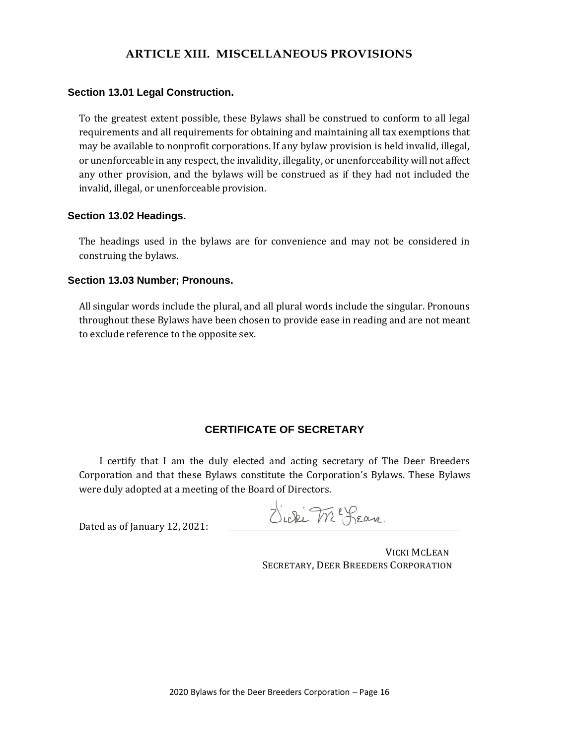## **ARTICLE XIII. MISCELLANEOUS PROVISIONS**

#### **Section 13.01 Legal Construction.**

To the greatest extent possible, these Bylaws shall be construed to conform to all legal requirements and all requirements for obtaining and maintaining all tax exemptions that may be available to nonprofit corporations. If any bylaw provision is held invalid, illegal, or unenforceable in any respect, the invalidity, illegality, or unenforceability will not affect any other provision, and the bylaws will be construed as if they had not included the invalid, illegal, or unenforceable provision.

#### **Section 13.02 Headings.**

The headings used in the bylaws are for convenience and may not be considered in construing the bylaws.

#### **Section 13.03 Number; Pronouns.**

All singular words include the plural, and all plural words include the singular. Pronouns throughout these Bylaws have been chosen to provide ease in reading and are not meant to exclude reference to the opposite sex.

## **CERTIFICATE OF SECRETARY**

I certify that I am the duly elected and acting secretary of The Deer Breeders Corporation and that these Bylaws constitute the Corporation's Bylaws. These Bylaws were duly adopted at a meeting of the Board of Directors.

Dated as of January 12, 2021:

Sicki Mc Lean

VICKI MCLEAN SECRETARY, DEER BREEDERS CORPORATION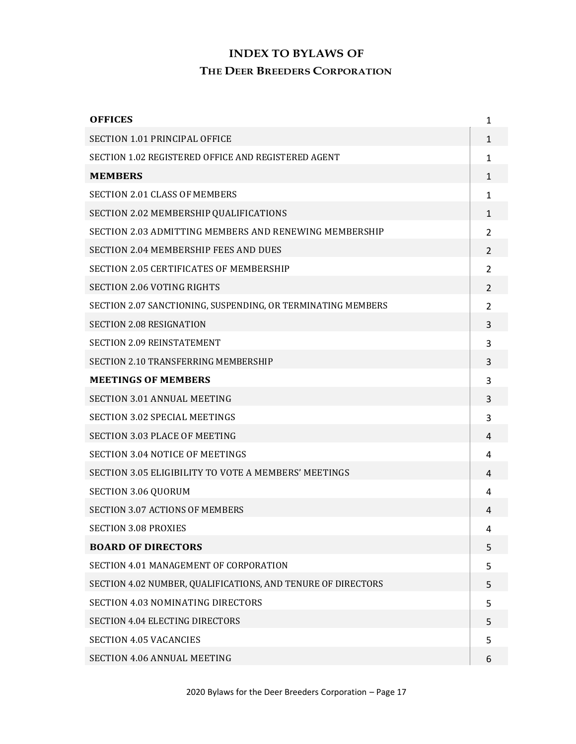# **INDEX TO BYLAWS OF THE DEER BREEDERS CORPORATION**

| <b>OFFICES</b>                                               | 1                        |
|--------------------------------------------------------------|--------------------------|
| <b>SECTION 1.01 PRINCIPAL OFFICE</b>                         | $\mathbf{1}$             |
| SECTION 1.02 REGISTERED OFFICE AND REGISTERED AGENT          | 1                        |
| <b>MEMBERS</b>                                               | $\mathbf{1}$             |
| <b>SECTION 2.01 CLASS OF MEMBERS</b>                         | 1                        |
| SECTION 2.02 MEMBERSHIP QUALIFICATIONS                       | 1                        |
| SECTION 2.03 ADMITTING MEMBERS AND RENEWING MEMBERSHIP       | $\mathcal{P}$            |
| <b>SECTION 2.04 MEMBERSHIP FEES AND DUES</b>                 | $\overline{2}$           |
| <b>SECTION 2.05 CERTIFICATES OF MEMBERSHIP</b>               | $\overline{\mathcal{L}}$ |
| <b>SECTION 2.06 VOTING RIGHTS</b>                            | 2                        |
| SECTION 2.07 SANCTIONING, SUSPENDING, OR TERMINATING MEMBERS | $\overline{2}$           |
| <b>SECTION 2.08 RESIGNATION</b>                              | 3                        |
| <b>SECTION 2.09 REINSTATEMENT</b>                            | 3                        |
| SECTION 2.10 TRANSFERRING MEMBERSHIP                         | 3                        |
| <b>MEETINGS OF MEMBERS</b>                                   | 3                        |
| <b>SECTION 3.01 ANNUAL MEETING</b>                           | 3                        |
| <b>SECTION 3.02 SPECIAL MEETINGS</b>                         | 3                        |
| <b>SECTION 3.03 PLACE OF MEETING</b>                         | 4                        |
| <b>SECTION 3.04 NOTICE OF MEETINGS</b>                       | 4                        |
| SECTION 3.05 ELIGIBILITY TO VOTE A MEMBERS' MEETINGS         | 4                        |
| <b>SECTION 3.06 QUORUM</b>                                   | 4                        |
| <b>SECTION 3.07 ACTIONS OF MEMBERS</b>                       | 4                        |
| <b>SECTION 3.08 PROXIES</b>                                  | 4                        |
| <b>BOARD OF DIRECTORS</b>                                    | 5                        |
| SECTION 4.01 MANAGEMENT OF CORPORATION                       | 5                        |
| SECTION 4.02 NUMBER, QUALIFICATIONS, AND TENURE OF DIRECTORS | 5                        |
| SECTION 4.03 NOMINATING DIRECTORS                            | 5                        |
| <b>SECTION 4.04 ELECTING DIRECTORS</b>                       | 5                        |
| <b>SECTION 4.05 VACANCIES</b>                                | 5                        |
| <b>SECTION 4.06 ANNUAL MEETING</b>                           | 6                        |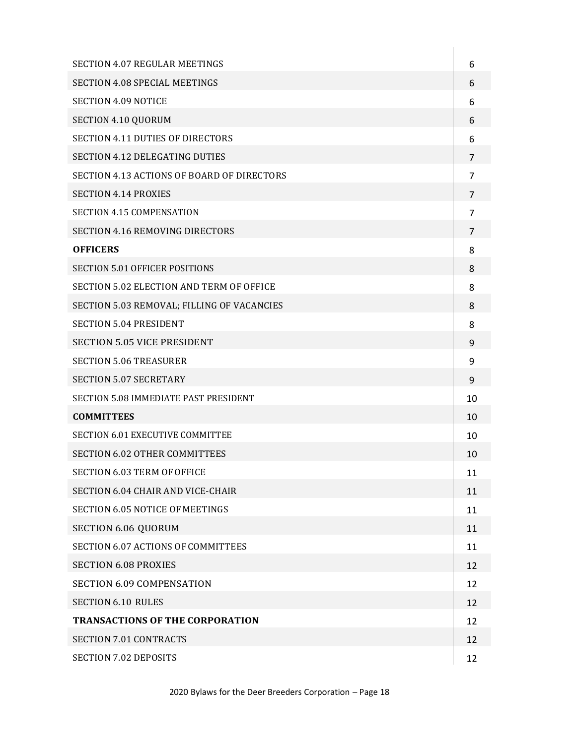| SECTION 4.07 REGULAR MEETINGS              | 6              |
|--------------------------------------------|----------------|
| SECTION 4.08 SPECIAL MEETINGS              | 6              |
| <b>SECTION 4.09 NOTICE</b>                 | 6              |
| SECTION 4.10 QUORUM                        | 6              |
| <b>SECTION 4.11 DUTIES OF DIRECTORS</b>    | 6              |
| <b>SECTION 4.12 DELEGATING DUTIES</b>      | 7              |
| SECTION 4.13 ACTIONS OF BOARD OF DIRECTORS | $\overline{7}$ |
| <b>SECTION 4.14 PROXIES</b>                | $\overline{7}$ |
| <b>SECTION 4.15 COMPENSATION</b>           | 7              |
| SECTION 4.16 REMOVING DIRECTORS            | $\overline{7}$ |
| <b>OFFICERS</b>                            | 8              |
| <b>SECTION 5.01 OFFICER POSITIONS</b>      | 8              |
| SECTION 5.02 ELECTION AND TERM OF OFFICE   | 8              |
| SECTION 5.03 REMOVAL; FILLING OF VACANCIES | 8              |
| <b>SECTION 5.04 PRESIDENT</b>              | 8              |
| <b>SECTION 5.05 VICE PRESIDENT</b>         | 9              |
| <b>SECTION 5.06 TREASURER</b>              | 9              |
| <b>SECTION 5.07 SECRETARY</b>              | 9              |
| SECTION 5.08 IMMEDIATE PAST PRESIDENT      | 10             |
| <b>COMMITTEES</b>                          | 10             |
| SECTION 6.01 EXECUTIVE COMMITTEE           | 10             |
| <b>SECTION 6.02 OTHER COMMITTEES</b>       | 10             |
| SECTION 6.03 TERM OF OFFICE                | 11             |
| SECTION 6.04 CHAIR AND VICE-CHAIR          | 11             |
| SECTION 6.05 NOTICE OF MEETINGS            | 11             |
| SECTION 6.06 QUORUM                        | 11             |
| SECTION 6.07 ACTIONS OF COMMITTEES         | 11             |
| <b>SECTION 6.08 PROXIES</b>                | 12             |
| <b>SECTION 6.09 COMPENSATION</b>           | 12             |
| <b>SECTION 6.10 RULES</b>                  | 12             |
| <b>TRANSACTIONS OF THE CORPORATION</b>     | 12             |
| <b>SECTION 7.01 CONTRACTS</b>              | 12             |
| <b>SECTION 7.02 DEPOSITS</b>               | 12             |